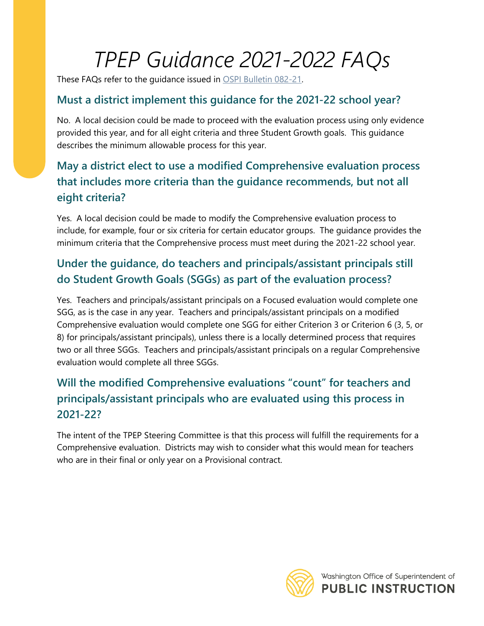# *TPEP Guidance 2021-2022 FAQs*

These FAQs refer to the guidance issued in [OSPI Bulletin 082-21.](https://www.k12.wa.us/sites/default/files/public/bulletinsmemos/bulletins2021/B082-21.pdf)

#### **Must a district implement this guidance for the 2021-22 school year?**

No. A local decision could be made to proceed with the evaluation process using only evidence provided this year, and for all eight criteria and three Student Growth goals. This guidance describes the minimum allowable process for this year.

# **May a district elect to use a modified Comprehensive evaluation process that includes more criteria than the guidance recommends, but not all eight criteria?**

Yes. A local decision could be made to modify the Comprehensive evaluation process to include, for example, four or six criteria for certain educator groups. The guidance provides the minimum criteria that the Comprehensive process must meet during the 2021-22 school year.

# **Under the guidance, do teachers and principals/assistant principals still do Student Growth Goals (SGGs) as part of the evaluation process?**

Yes. Teachers and principals/assistant principals on a Focused evaluation would complete one SGG, as is the case in any year. Teachers and principals/assistant principals on a modified Comprehensive evaluation would complete one SGG for either Criterion 3 or Criterion 6 (3, 5, or 8) for principals/assistant principals), unless there is a locally determined process that requires two or all three SGGs. Teachers and principals/assistant principals on a regular Comprehensive evaluation would complete all three SGGs.

# **Will the modified Comprehensive evaluations "count" for teachers and principals/assistant principals who are evaluated using this process in 2021-22?**

The intent of the TPEP Steering Committee is that this process will fulfill the requirements for a Comprehensive evaluation. Districts may wish to consider what this would mean for teachers who are in their final or only year on a Provisional contract.